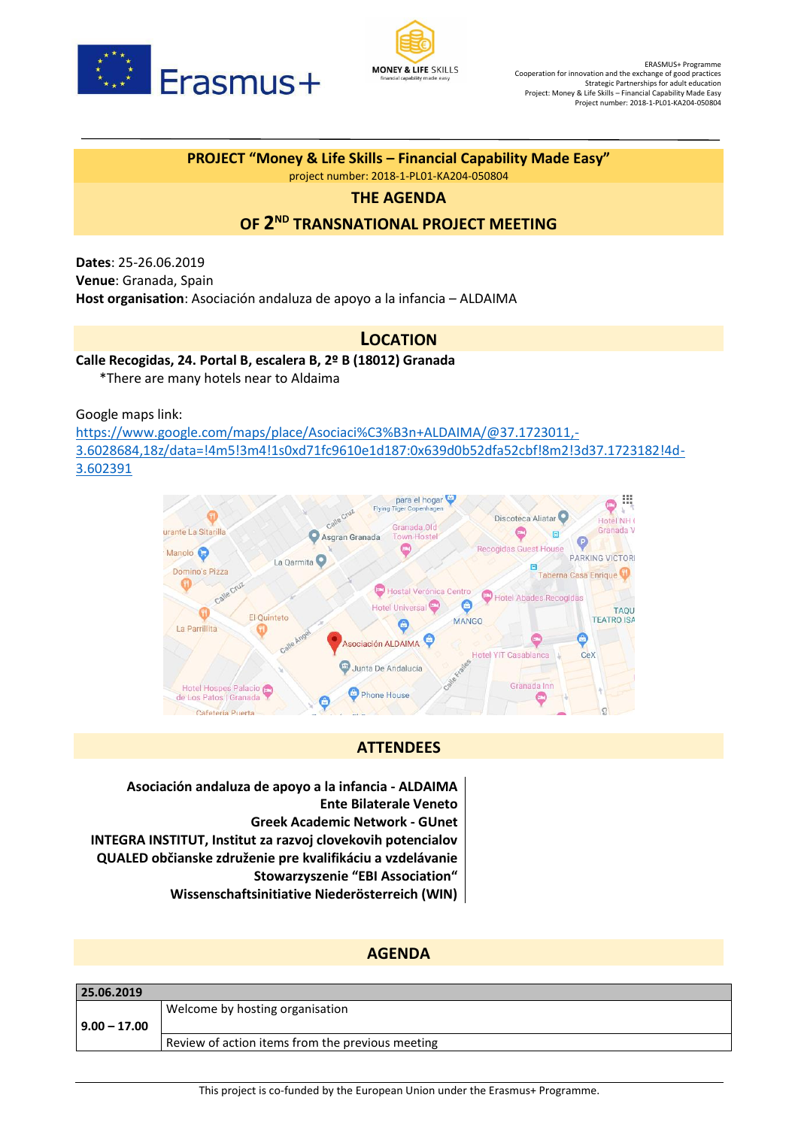



# **PROJECT "Money & Life Skills – Financial Capability Made Easy"**

project number: 2018-1-PL01-KA204-050804

## **THE AGENDA**

## **OF 2 ND TRANSNATIONAL PROJECT MEETING**

**Dates**: 25-26.06.2019 **Venue**: Granada, Spain **Host organisation**: Asociación andaluza de apoyo a la infancia – ALDAIMA

## **LOCATION**

#### **Calle Recogidas, 24. Portal B, escalera B, 2º B (18012) Granada**

\*There are many hotels near to Aldaima

Google maps link:

[https://www.google.com/maps/place/Asociaci%C3%B3n+ALDAIMA/@37.1723011,-](https://www.google.com/maps/place/Asociaci%C3%B3n+ALDAIMA/@37.1723011,-3.6028684,18z/data=!4m5!3m4!1s0xd71fc9610e1d187:0x639d0b52dfa52cbf!8m2!3d37.1723182!4d-3.602391) [3.6028684,18z/data=!4m5!3m4!1s0xd71fc9610e1d187:0x639d0b52dfa52cbf!8m2!3d37.1723182!4d-](https://www.google.com/maps/place/Asociaci%C3%B3n+ALDAIMA/@37.1723011,-3.6028684,18z/data=!4m5!3m4!1s0xd71fc9610e1d187:0x639d0b52dfa52cbf!8m2!3d37.1723182!4d-3.602391)[3.602391](https://www.google.com/maps/place/Asociaci%C3%B3n+ALDAIMA/@37.1723011,-3.6028684,18z/data=!4m5!3m4!1s0xd71fc9610e1d187:0x639d0b52dfa52cbf!8m2!3d37.1723182!4d-3.602391)



## **ATTENDEES**

**Asociación andaluza de apoyo a la infancia - ALDAIMA Ente Bilaterale Veneto Greek Academic Network - GUnet INTEGRA INSTITUT, Institut za razvoj clovekovih potencialov QUALED občianske združenie pre kvalifikáciu a vzdelávanie Stowarzyszenie "EBI Association" Wissenschaftsinitiative Niederösterreich (WIN)**

## **AGENDA**

| 25.06.2019     |                                                  |
|----------------|--------------------------------------------------|
|                | Welcome by hosting organisation                  |
| $9.00 - 17.00$ |                                                  |
|                | Review of action items from the previous meeting |